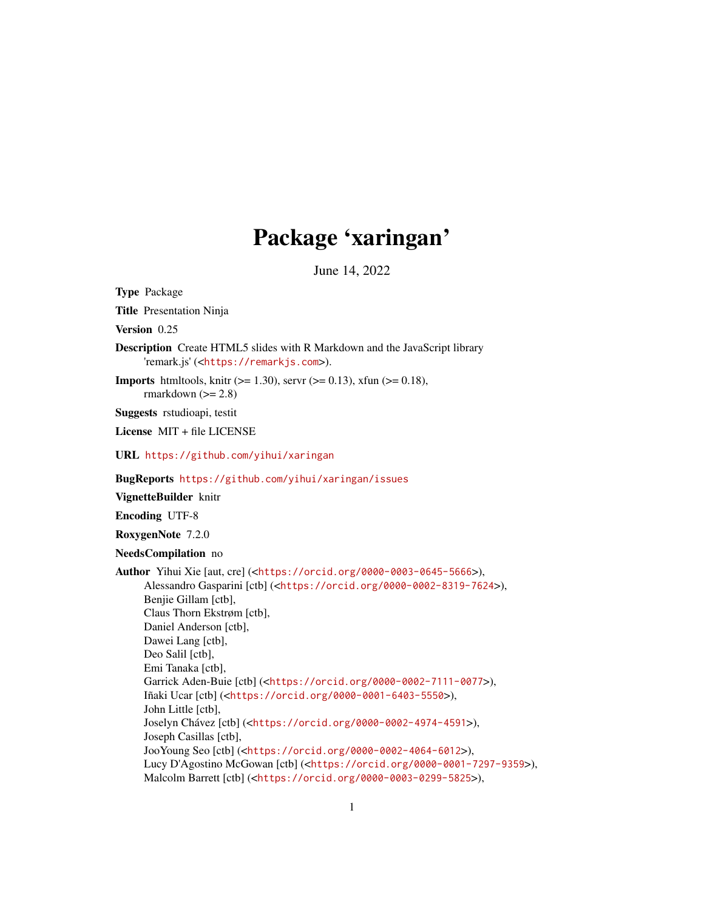## Package 'xaringan'

June 14, 2022

<span id="page-0-0"></span>Type Package Title Presentation Ninja Version 0.25 Description Create HTML5 slides with R Markdown and the JavaScript library 'remark.js' (<<https://remarkjs.com>>). **Imports** htmltools, knitr ( $>= 1.30$ ), servr ( $>= 0.13$ ), xfun ( $>= 0.18$ ), rmarkdown  $(>= 2.8)$ Suggests rstudioapi, testit License MIT + file LICENSE URL <https://github.com/yihui/xaringan> BugReports <https://github.com/yihui/xaringan/issues> VignetteBuilder knitr Encoding UTF-8 RoxygenNote 7.2.0 NeedsCompilation no Author Yihui Xie [aut, cre] (<<https://orcid.org/0000-0003-0645-5666>>), Alessandro Gasparini [ctb] (<<https://orcid.org/0000-0002-8319-7624>>), Benjie Gillam [ctb], Claus Thorn Ekstrøm [ctb], Daniel Anderson [ctb], Dawei Lang [ctb], Deo Salil [ctb], Emi Tanaka [ctb], Garrick Aden-Buie [ctb] (<<https://orcid.org/0000-0002-7111-0077>>), Iñaki Ucar [ctb] (<<https://orcid.org/0000-0001-6403-5550>>), John Little [ctb], Joselyn Chávez [ctb] (<<https://orcid.org/0000-0002-4974-4591>>), Joseph Casillas [ctb], JooYoung Seo [ctb] (<<https://orcid.org/0000-0002-4064-6012>>), Lucy D'Agostino McGowan [ctb] (<<https://orcid.org/0000-0001-7297-9359>>), Malcolm Barrett [ctb] (<<https://orcid.org/0000-0003-0299-5825>>),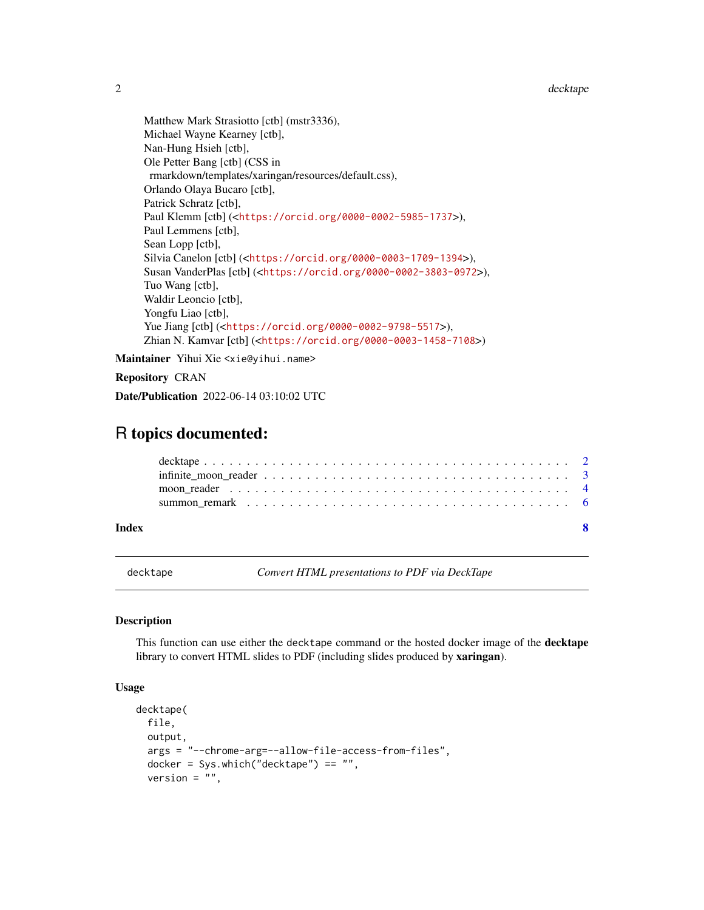2 decktape by the control of the control of the control of the control of the control of the control of the control of the control of the control of the control of the control of the control of the control of the control o

Matthew Mark Strasiotto [ctb] (mstr3336), Michael Wayne Kearney [ctb], Nan-Hung Hsieh [ctb], Ole Petter Bang [ctb] (CSS in rmarkdown/templates/xaringan/resources/default.css), Orlando Olaya Bucaro [ctb], Patrick Schratz [ctb], Paul Klemm [ctb] (<<https://orcid.org/0000-0002-5985-1737>>), Paul Lemmens [ctb], Sean Lopp [ctb], Silvia Canelon [ctb] (<<https://orcid.org/0000-0003-1709-1394>>), Susan VanderPlas [ctb] (<<https://orcid.org/0000-0002-3803-0972>>), Tuo Wang [ctb], Waldir Leoncio [ctb], Yongfu Liao [ctb], Yue Jiang [ctb] (<<https://orcid.org/0000-0002-9798-5517>>), Zhian N. Kamvar [ctb] (<<https://orcid.org/0000-0003-1458-7108>>)

Maintainer Yihui Xie <xie@yihui.name>

#### Repository CRAN

Date/Publication 2022-06-14 03:10:02 UTC

### R topics documented:

| Index |  |
|-------|--|
|       |  |
|       |  |
|       |  |
|       |  |

decktape *Convert HTML presentations to PDF via DeckTape*

#### **Description**

This function can use either the decktape command or the hosted docker image of the **decktape** library to convert HTML slides to PDF (including slides produced by xaringan).

```
decktape(
  file,
  output,
  args = "--chrome-arg=--allow-file-access-from-files",
  docker = Sys.which("decktape") == "",
  version = ",
```
<span id="page-1-0"></span>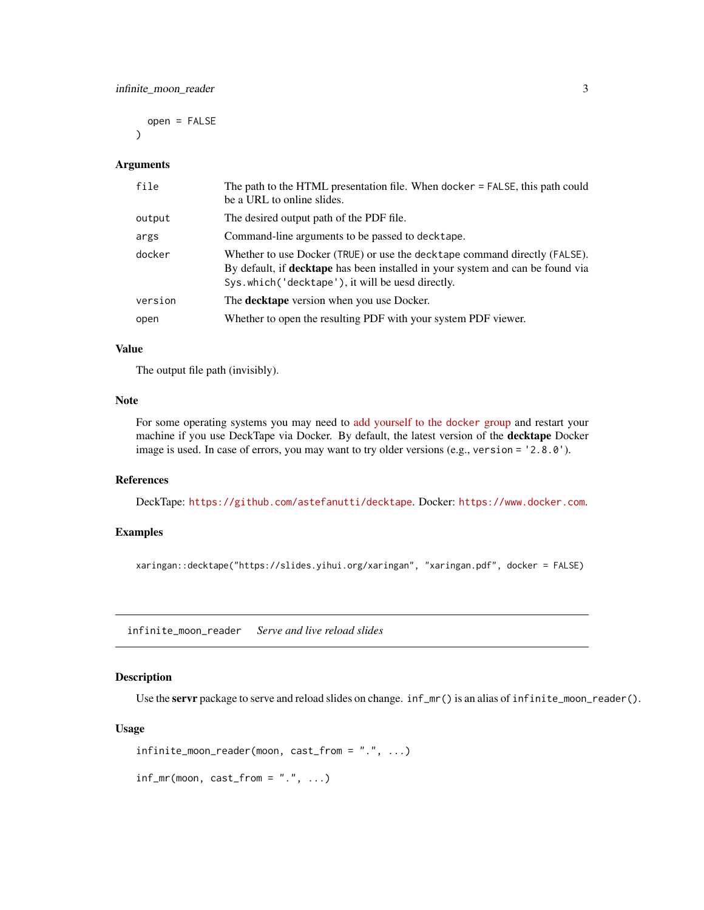<span id="page-2-0"></span>open = FALSE

#### Arguments

 $\lambda$ 

| file    | The path to the HTML presentation file. When docker $=$ FALSE, this path could<br>be a URL to online slides.                                                                                                             |
|---------|--------------------------------------------------------------------------------------------------------------------------------------------------------------------------------------------------------------------------|
| output  | The desired output path of the PDF file.                                                                                                                                                                                 |
| args    | Command-line arguments to be passed to decktape.                                                                                                                                                                         |
| docker  | Whether to use Docker (TRUE) or use the decktape command directly (FALSE).<br>By default, if <b>decktape</b> has been installed in your system and can be found via<br>Sys.which ('decktape'), it will be uesd directly. |
| version | The <b>decktape</b> version when you use Docker.                                                                                                                                                                         |
| open    | Whether to open the resulting PDF with your system PDF viewer.                                                                                                                                                           |

#### Value

The output file path (invisibly).

#### **Note**

For some operating systems you may need to [add yourself to the](https://stackoverflow.com/questions/48957195) docker group and restart your machine if you use DeckTape via Docker. By default, the latest version of the **decktape** Docker image is used. In case of errors, you may want to try older versions (e.g., version = '2.8.0').

#### References

DeckTape: <https://github.com/astefanutti/decktape>. Docker: <https://www.docker.com>.

#### Examples

xaringan::decktape("https://slides.yihui.org/xaringan", "xaringan.pdf", docker = FALSE)

infinite\_moon\_reader *Serve and live reload slides*

#### <span id="page-2-1"></span>Description

Use the servr package to serve and reload slides on change.  $inf_m r()$  is an alias of infinite\_moon\_reader().

```
infinite_moon_reader(moon, cast_from = ".", ...)
```

```
inf_m(moon, cast_from = "." , ...)
```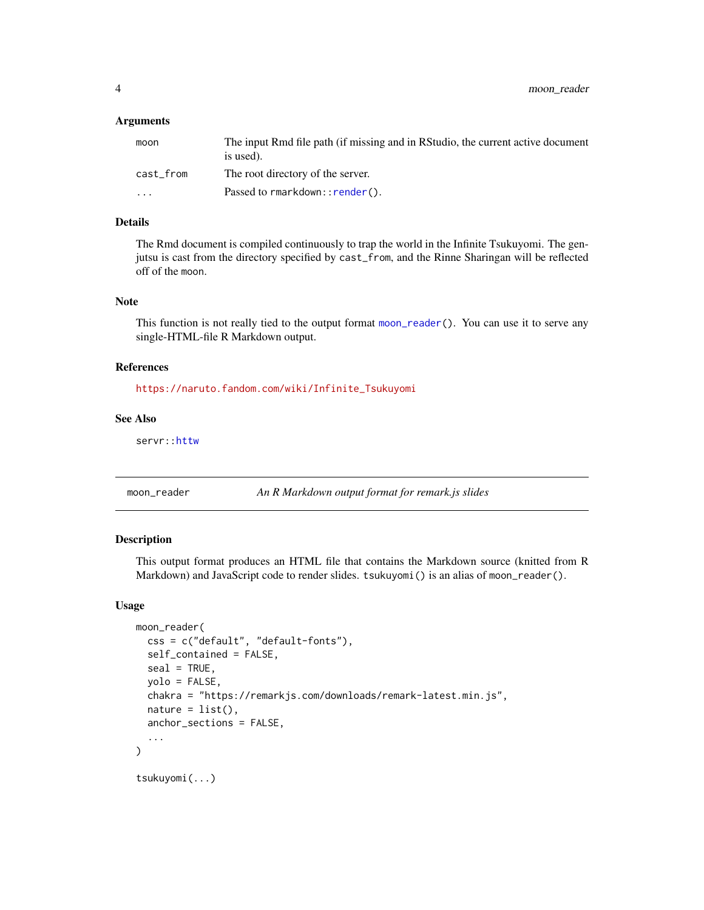<span id="page-3-0"></span>4 moon\_reader

#### **Arguments**

| moon      | The input Rmd file path (if missing and in RStudio, the current active document<br>is used). |
|-----------|----------------------------------------------------------------------------------------------|
| cast_from | The root directory of the server.                                                            |
| $\cdots$  | Passed to $r$ markdown:: $r$ ender().                                                        |

#### Details

The Rmd document is compiled continuously to trap the world in the Infinite Tsukuyomi. The genjutsu is cast from the directory specified by cast\_from, and the Rinne Sharingan will be reflected off of the moon.

#### Note

This function is not really tied to the output format [moon\\_reader\(](#page-3-1)). You can use it to serve any single-HTML-file R Markdown output.

#### References

[https://naruto.fandom.com/wiki/Infinite\\_Tsukuyomi](https://naruto.fandom.com/wiki/Infinite_Tsukuyomi)

#### See Also

servr:: httw

<span id="page-3-1"></span>moon\_reader *An R Markdown output format for remark.js slides*

#### Description

This output format produces an HTML file that contains the Markdown source (knitted from R Markdown) and JavaScript code to render slides. tsukuyomi () is an alias of moon\_reader().

```
moon_reader(
 css = c("default", "default-fonts"),
  self_contained = FALSE,
  seal = TRUE,yolo = FALSE,
 chakra = "https://remarkjs.com/downloads/remark-latest.min.js",
 nature = list(),anchor_sections = FALSE,
  ...
)
tsukuyomi(...)
```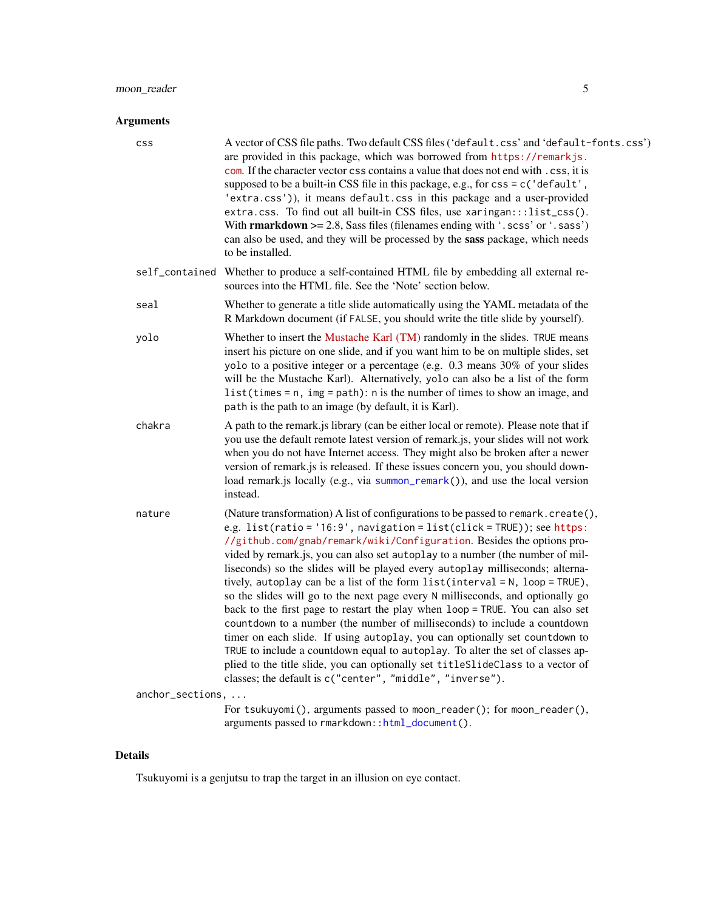#### <span id="page-4-0"></span>Arguments

| <b>CSS</b>       | A vector of CSS file paths. Two default CSS files ('default.css' and 'default-fonts.css')<br>are provided in this package, which was borrowed from https://remarkjs.<br>com. If the character vector css contains a value that does not end with . css, it is<br>supposed to be a built-in CSS file in this package, e.g., for css = c('default',<br>'extra.css')), it means default.css in this package and a user-provided<br>extra.css. To find out all built-in CSS files, use xaringan:::list_css().<br>With rmarkdown $>= 2.8$ , Sass files (filenames ending with '.scss' or '.sass')<br>can also be used, and they will be processed by the sass package, which needs<br>to be installed.                                                                                                                                                                                                                                                                                                                                                      |
|------------------|--------------------------------------------------------------------------------------------------------------------------------------------------------------------------------------------------------------------------------------------------------------------------------------------------------------------------------------------------------------------------------------------------------------------------------------------------------------------------------------------------------------------------------------------------------------------------------------------------------------------------------------------------------------------------------------------------------------------------------------------------------------------------------------------------------------------------------------------------------------------------------------------------------------------------------------------------------------------------------------------------------------------------------------------------------|
| self_contained   | Whether to produce a self-contained HTML file by embedding all external re-<br>sources into the HTML file. See the 'Note' section below.                                                                                                                                                                                                                                                                                                                                                                                                                                                                                                                                                                                                                                                                                                                                                                                                                                                                                                               |
| seal             | Whether to generate a title slide automatically using the YAML metadata of the<br>R Markdown document (if FALSE, you should write the title slide by yourself).                                                                                                                                                                                                                                                                                                                                                                                                                                                                                                                                                                                                                                                                                                                                                                                                                                                                                        |
| yolo             | Whether to insert the Mustache Karl (TM) randomly in the slides. TRUE means<br>insert his picture on one slide, and if you want him to be on multiple slides, set<br>yolo to a positive integer or a percentage (e.g. 0.3 means 30% of your slides<br>will be the Mustache Karl). Alternatively, yolo can also be a list of the form<br>list(times = $n$ , img = $path$ ): $n$ is the number of times to show an image, and<br>path is the path to an image (by default, it is Karl).                                                                                                                                                                                                                                                                                                                                                                                                                                                                                                                                                                  |
| chakra           | A path to the remark js library (can be either local or remote). Please note that if<br>you use the default remote latest version of remark.js, your slides will not work<br>when you do not have Internet access. They might also be broken after a newer<br>version of remark is is released. If these issues concern you, you should down-<br>load remark.js locally (e.g., via summon_remark()), and use the local version<br>instead.                                                                                                                                                                                                                                                                                                                                                                                                                                                                                                                                                                                                             |
| nature           | (Nature transformation) A list of configurations to be passed to remark.create(),<br>e.g. list(ratio = '16:9', navigation = list(click = TRUE)); see https:<br>//github.com/gnab/remark/wiki/Configuration. Besides the options pro-<br>vided by remark.js, you can also set autoplay to a number (the number of mil-<br>liseconds) so the slides will be played every autoplay milliseconds; alterna-<br>tively, autoplay can be a list of the form list(interval = N, loop = TRUE),<br>so the slides will go to the next page every N milliseconds, and optionally go<br>back to the first page to restart the play when loop = TRUE. You can also set<br>countdown to a number (the number of milliseconds) to include a countdown<br>timer on each slide. If using autoplay, you can optionally set countdown to<br>TRUE to include a countdown equal to autoplay. To alter the set of classes ap-<br>plied to the title slide, you can optionally set titleSlideClass to a vector of<br>classes; the default is c("center", "middle", "inverse"). |
| anchor_sections, |                                                                                                                                                                                                                                                                                                                                                                                                                                                                                                                                                                                                                                                                                                                                                                                                                                                                                                                                                                                                                                                        |
|                  | For tsukuyomi(), arguments passed to moon_reader(); for moon_reader(),<br>arguments passed to rmarkdown::html_document().                                                                                                                                                                                                                                                                                                                                                                                                                                                                                                                                                                                                                                                                                                                                                                                                                                                                                                                              |

#### Details

Tsukuyomi is a genjutsu to trap the target in an illusion on eye contact.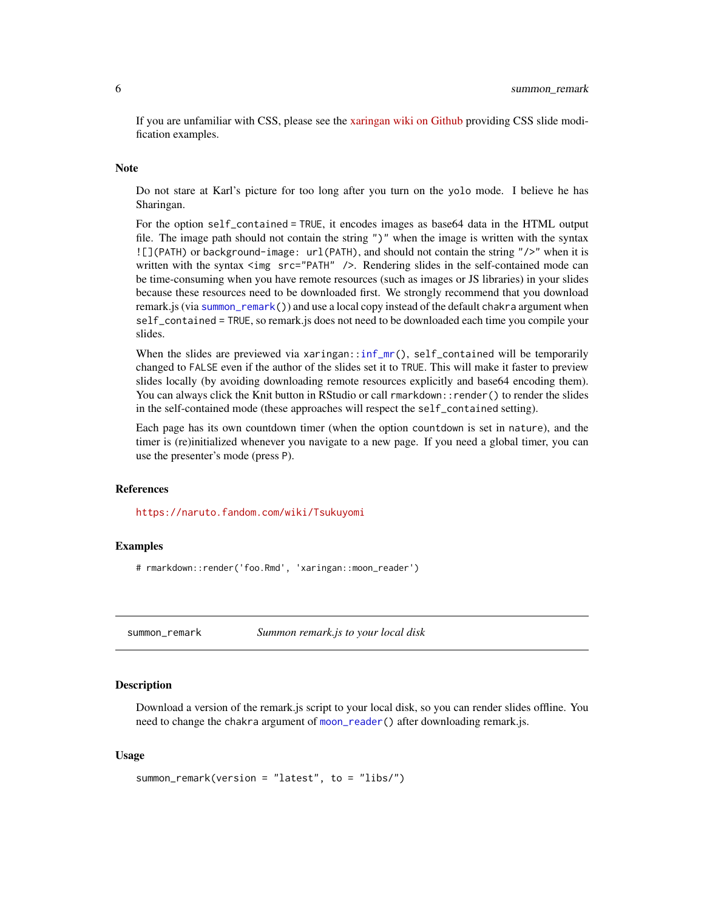<span id="page-5-0"></span>If you are unfamiliar with CSS, please see the [xaringan wiki on Github](https://github.com/yihui/xaringan/wiki) providing CSS slide modification examples.

#### Note

Do not stare at Karl's picture for too long after you turn on the yolo mode. I believe he has Sharingan.

For the option self\_contained = TRUE, it encodes images as base64 data in the HTML output file. The image path should not contain the string ")" when the image is written with the syntax ![](PATH) or background-image: url(PATH), and should not contain the string "/>" when it is written with the syntax <img src="PATH" />. Rendering slides in the self-contained mode can be time-consuming when you have remote resources (such as images or JS libraries) in your slides because these resources need to be downloaded first. We strongly recommend that you download remark.js (via [summon\\_remark\(](#page-5-1))) and use a local copy instead of the default chakra argument when self\_contained = TRUE, so remark.js does not need to be downloaded each time you compile your slides.

When the slides are previewed via xaringan:[:inf\\_mr\(](#page-2-1)), self\_contained will be temporarily changed to FALSE even if the author of the slides set it to TRUE. This will make it faster to preview slides locally (by avoiding downloading remote resources explicitly and base64 encoding them). You can always click the Knit button in RStudio or call rmarkdown::render() to render the slides in the self-contained mode (these approaches will respect the self\_contained setting).

Each page has its own countdown timer (when the option countdown is set in nature), and the timer is (re)initialized whenever you navigate to a new page. If you need a global timer, you can use the presenter's mode (press P).

#### References

<https://naruto.fandom.com/wiki/Tsukuyomi>

#### Examples

# rmarkdown::render('foo.Rmd', 'xaringan::moon\_reader')

<span id="page-5-1"></span>summon\_remark *Summon remark.js to your local disk*

#### **Description**

Download a version of the remark.js script to your local disk, so you can render slides offline. You need to change the chakra argument of [moon\\_reader\(](#page-3-1)) after downloading remark.js.

```
summon_remark(version = "latest", to = "libs/")
```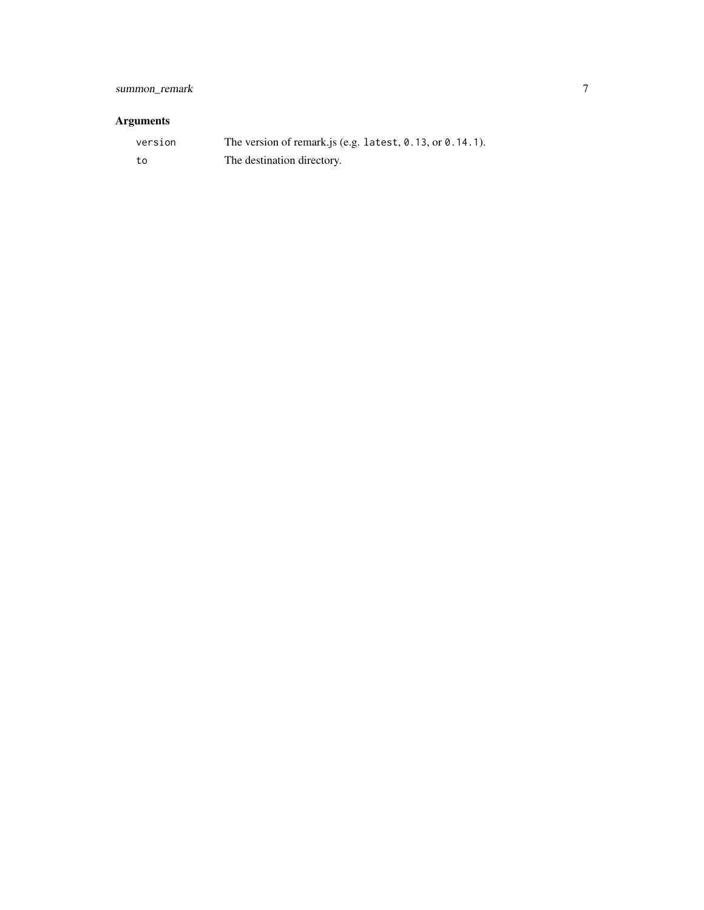#### Arguments

| version | The version of remark is (e.g. latest, $0.13$ , or $0.14.1$ ). |
|---------|----------------------------------------------------------------|
| − to    | The destination directory.                                     |